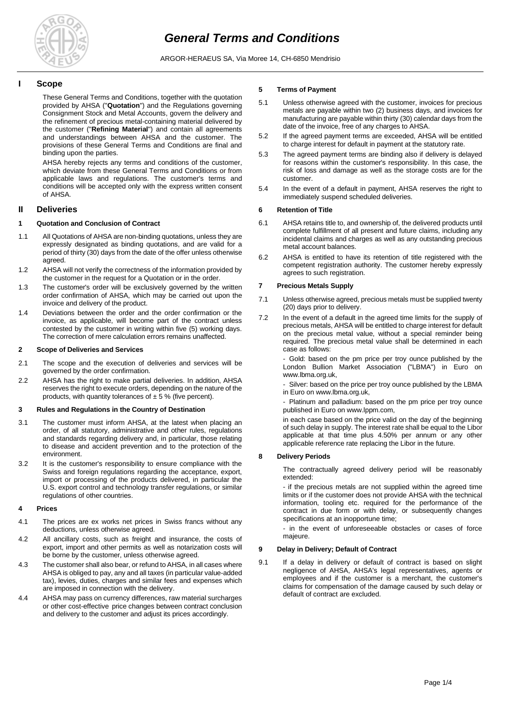

ARGOR-HERAEUS SA, Via Moree 14, CH-6850 Mendrisio

# **I Scope**

These General Terms and Conditions, together with the quotation provided by AHSA ("**Quotation**") and the Regulations governing Consignment Stock and Metal Accounts, govern the delivery and the refinement of precious metal-containing material delivered by the customer ("**Refining Material**") and contain all agreements and understandings between AHSA and the customer. The provisions of these General Terms and Conditions are final and binding upon the parties.

AHSA hereby rejects any terms and conditions of the customer, which deviate from these General Terms and Conditions or from applicable laws and regulations. The customer's terms and conditions will be accepted only with the express written consent of AHSA.

# **II Deliveries**

# **1 Quotation and Conclusion of Contract**

- 1.1 All Quotations of AHSA are non-binding quotations, unless they are expressly designated as binding quotations, and are valid for a period of thirty (30) days from the date of the offer unless otherwise agreed.
- 1.2 AHSA will not verify the correctness of the information provided by the customer in the request for a Quotation or in the order.
- 1.3 The customer's order will be exclusively governed by the written order confirmation of AHSA, which may be carried out upon the invoice and delivery of the product.
- 1.4 Deviations between the order and the order confirmation or the invoice, as applicable, will become part of the contract unless contested by the customer in writing within five (5) working days. The correction of mere calculation errors remains unaffected.

### **2 Scope of Deliveries and Services**

- 2.1 The scope and the execution of deliveries and services will be governed by the order confirmation.
- 2.2 AHSA has the right to make partial deliveries. In addition, AHSA reserves the right to execute orders, depending on the nature of the products, with quantity tolerances of  $\pm$  5 % (five percent).

### **3 Rules and Regulations in the Country of Destination**

- 3.1 The customer must inform AHSA, at the latest when placing an order, of all statutory, administrative and other rules, regulations and standards regarding delivery and, in particular, those relating to disease and accident prevention and to the protection of the environment.
- 3.2 It is the customer's responsibility to ensure compliance with the Swiss and foreign regulations regarding the acceptance, export, import or processing of the products delivered, in particular the U.S. export control and technology transfer regulations, or similar regulations of other countries.

### **4 Prices**

- 4.1 The prices are ex works net prices in Swiss francs without any deductions, unless otherwise agreed.
- 4.2 All ancillary costs, such as freight and insurance, the costs of export, import and other permits as well as notarization costs will be borne by the customer, unless otherwise agreed.
- 4.3 The customer shall also bear, or refund to AHSA, in all cases where AHSA is obliged to pay, any and all taxes (in particular value-added tax), levies, duties, charges and similar fees and expenses which are imposed in connection with the delivery.
- 4.4 AHSA may pass on currency differences, raw material surcharges or other cost-effective price changes between contract conclusion and delivery to the customer and adjust its prices accordingly.

## **5 Terms of Payment**

- 5.1 Unless otherwise agreed with the customer, invoices for precious metals are payable within two (2) business days, and invoices for manufacturing are payable within thirty (30) calendar days from the date of the invoice, free of any charges to AHSA.
- 5.2 If the agreed payment terms are exceeded, AHSA will be entitled to charge interest for default in payment at the statutory rate.
- 5.3 The agreed payment terms are binding also if delivery is delayed for reasons within the customer's responsibility. In this case, the risk of loss and damage as well as the storage costs are for the customer.
- 5.4 In the event of a default in payment, AHSA reserves the right to immediately suspend scheduled deliveries.

# **6 Retention of Title**

- 6.1 AHSA retains title to, and ownership of, the delivered products until complete fulfillment of all present and future claims, including any incidental claims and charges as well as any outstanding precious metal account balances.
- 6.2 AHSA is entitled to have its retention of title registered with the competent registration authority. The customer hereby expressly agrees to such registration.

# **7 Precious Metals Supply**

- 7.1 Unless otherwise agreed, precious metals must be supplied twenty (20) days prior to delivery.
- 7.2 In the event of a default in the agreed time limits for the supply of precious metals, AHSA will be entitled to charge interest for default on the precious metal value, without a special reminder being required. The precious metal value shall be determined in each case as follows:

Gold: based on the pm price per troy ounce published by the London Bullion Market Association ("LBMA") in Euro on www.lbma.org.uk,

Silver: based on the price per troy ounce published by the LBMA in Euro on www.lbma.org.uk,

- Platinum and palladium: based on the pm price per troy ounce published in Euro on www.lppm.com,

in each case based on the price valid on the day of the beginning of such delay in supply. The interest rate shall be equal to the Libor applicable at that time plus 4.50% per annum or any other applicable reference rate replacing the Libor in the future.

### **8 Delivery Periods**

The contractually agreed delivery period will be reasonably extended:

- if the precious metals are not supplied within the agreed time limits or if the customer does not provide AHSA with the technical information, tooling etc. required for the performance of the contract in due form or with delay, or subsequently changes specifications at an inopportune time;

- in the event of unforeseeable obstacles or cases of force majeure.

## **9 Delay in Delivery; Default of Contract**

9.1 If a delay in delivery or default of contract is based on slight negligence of AHSA, AHSA's legal representatives, agents or employees and if the customer is a merchant, the customer's claims for compensation of the damage caused by such delay or default of contract are excluded.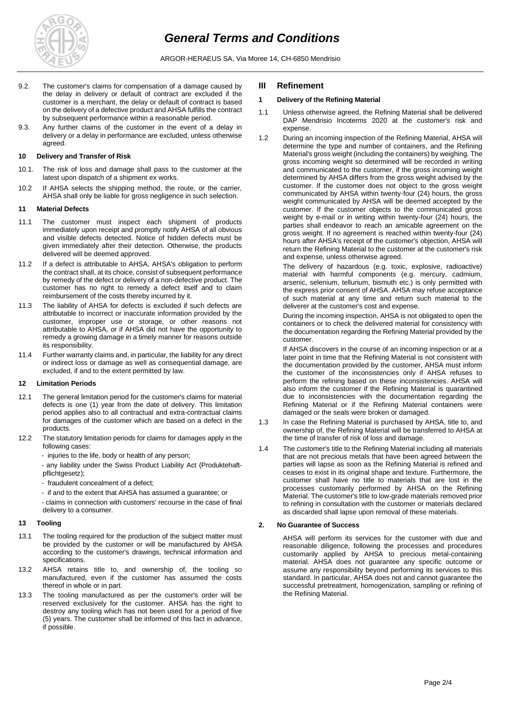

ARGOR-HERAEUS SA, Via Moree 14, CH-6850 Mendrisio

- 9.2. The customer's claims for compensation of a damage caused by the delay in delivery or default of contract are excluded if the customer is a merchant, the delay or default of contract is based on the delivery of a defective product and AHSA fulfills the contract by subsequent performance within a reasonable period.
- 9.3. Any further claims of the customer in the event of a delay in delivery or a delay in performance are excluded, unless otherwise agreed.

### **10 Delivery and Transfer of Risk**

- 10.1. The risk of loss and damage shall pass to the customer at the latest upon dispatch of a shipment ex works.
- 10.2 If AHSA selects the shipping method, the route, or the carrier, AHSA shall only be liable for gross negligence in such selection.

### **11 Material Defects**

- 11.1 The customer must inspect each shipment of products immediately upon receipt and promptly notify AHSA of all obvious and visible defects detected. Notice of hidden defects must be given immediately after their detection. Otherwise, the products delivered will be deemed approved.
- 11.2 If a defect is attributable to AHSA, AHSA's obligation to perform the contract shall, at its choice, consist of subsequent performance by remedy of the defect or delivery of a non-defective product. The customer has no right to remedy a defect itself and to claim reimbursement of the costs thereby incurred by it.
- 11.3 The liability of AHSA for defects is excluded if such defects are attributable to incorrect or inaccurate information provided by the customer, improper use or storage, or other reasons not attributable to AHSA, or if AHSA did not have the opportunity to remedy a growing damage in a timely manner for reasons outside its responsibility.
- 11.4 Further warranty claims and, in particular, the liability for any direct or indirect loss or damage as well as consequential damage, are excluded, if and to the extent permitted by law.

### **12 Limitation Periods**

- 12.1 The general limitation period for the customer's claims for material defects is one (1) year from the date of delivery. This limitation period applies also to all contractual and extra-contractual claims for damages of the customer which are based on a defect in the products.
- 12.2 The statutory limitation periods for claims for damages apply in the following cases:

- injuries to the life, body or health of any person;

- any liability under the Swiss Product Liability Act (Produktehaftpflichtgesetz);

- fraudulent concealment of a defect;
- if and to the extent that AHSA has assumed a guarantee; or
- claims in connection with customers' recourse in the case of final delivery to a consumer.

# **13 Tooling**

- 13.1 The tooling required for the production of the subject matter must be provided by the customer or will be manufactured by AHSA according to the customer's drawings, technical information and specifications.
- 13.2 AHSA retains title to, and ownership of, the tooling so manufactured, even if the customer has assumed the costs thereof in whole or in part.
- 13.3 The tooling manufactured as per the customer's order will be reserved exclusively for the customer. AHSA has the right to destroy any tooling which has not been used for a period of five (5) years. The customer shall be informed of this fact in advance, if possible.

# **III Refinement**

# **1 Delivery of the Refining Material**

- 1.1 Unless otherwise agreed, the Refining Material shall be delivered DAP Mendrisio Incoterms 2020 at the customer's risk and expense.
- 1.2 During an incoming inspection of the Refining Material, AHSA will determine the type and number of containers, and the Refining Material's gross weight (including the containers) by weighing. The gross incoming weight so determined will be recorded in writing and communicated to the customer, if the gross incoming weight determined by AHSA differs from the gross weight advised by the customer. If the customer does not object to the gross weight communicated by AHSA within twenty-four (24) hours, the gross weight communicated by AHSA will be deemed accepted by the customer. If the customer objects to the communicated gross weight by e-mail or in writing within twenty-four (24) hours, the parties shall endeavor to reach an amicable agreement on the gross weight. If no agreement is reached within twenty-four (24) hours after AHSA's receipt of the customer's objection, AHSA will return the Refining Material to the customer at the customer's risk and expense, unless otherwise agreed.

The delivery of hazardous (e.g. toxic, explosive, radioactive) material with harmful components (e.g. mercury, cadmium, arsenic, selenium, tellurium, bismuth etc.) is only permitted with the express prior consent of AHSA. AHSA may refuse acceptance of such material at any time and return such material to the deliverer at the customer's cost and expense.

During the incoming inspection, AHSA is not obligated to open the containers or to check the delivered material for consistency with the documentation regarding the Refining Material provided by the customer.

If AHSA discovers in the course of an incoming inspection or at a later point in time that the Refining Material is not consistent with the documentation provided by the customer, AHSA must inform the customer of the inconsistencies only if AHSA refuses to perform the refining based on these inconsistencies. AHSA will also inform the customer if the Refining Material is quarantined due to inconsistencies with the documentation regarding the Refining Material or if the Refining Material containers were damaged or the seals were broken or damaged.

- 1.3 In case the Refining Material is purchased by AHSA, title to, and ownership of, the Refining Material will be transferred to AHSA at the time of transfer of risk of loss and damage.
- 1.4 The customer's title to the Refining Material including all materials that are not precious metals that have been agreed between the parties will lapse as soon as the Refining Material is refined and ceases to exist in its original shape and texture. Furthermore, the customer shall have no title to materials that are lost in the processes customarily performed by AHSA on the Refining Material. The customer's title to low-grade materials removed prior to refining in consultation with the customer or materials declared as discarded shall lapse upon removal of these materials.

# **2. No Guarantee of Success**

AHSA will perform its services for the customer with due and reasonable diligence, following the processes and procedures customarily applied by AHSA to precious metal-containing material. AHSA does not guarantee any specific outcome or assume any responsibility beyond performing its services to this standard. In particular, AHSA does not and cannot guarantee the successful pretreatment, homogenization, sampling or refining of the Refining Material.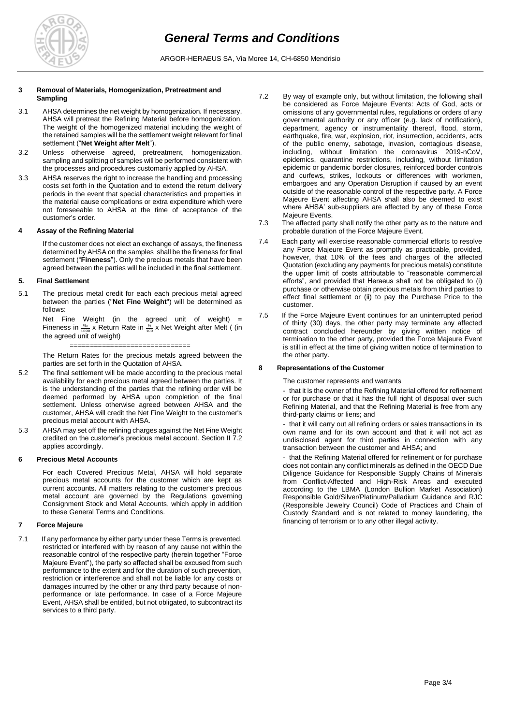

### **3 Removal of Materials, Homogenization, Pretreatment and Sampling**

- 3.1 AHSA determines the net weight by homogenization. If necessary, AHSA will pretreat the Refining Material before homogenization. The weight of the homogenized material including the weight of the retained samples will be the settlement weight relevant for final settlement ("**Net Weight after Melt**").
- 3.2 Unless otherweise agreed, pretreatment, homogenization, sampling and splitting of samples will be performed consistent with the processes and procedures customarily applied by AHSA.
- 3.3 AHSA reserves the right to increase the handling and processing costs set forth in the Quotation and to extend the return delivery periods in the event that special characteristics and properties in the material cause complications or extra expenditure which were not foreseeable to AHSA at the time of acceptance of the customer's order.

### **4 Assay of the Refining Material**

If the customer does not elect an exchange of assays, the fineness determined by AHSA on the samples shall be the fineness for final settlement ("**Fineness**"). Only the precious metals that have been agreed between the parties will be included in the final settlement.

# **5. Final Settlement**

5.1 The precious metal credit for each each precious metal agreed between the parties ("**Net Fine Weight**") will be determined as follows:

> Net Fine Weight (in the agreed unit of weight)  $=$ Fineness in  $\frac{\%}{1000}$  x Return Rate in  $\frac{\%}{100}$  x Net Weight after Melt ( (in the agreed unit of weight)

> ============================== The Return Rates for the precious metals agreed between the

parties are set forth in the Quotation of AHSA.

- 5.2 The final settlement will be made according to the precious metal availability for each precious metal agreed between the parties. It is the understanding of the parties that the refining order will be deemed performed by AHSA upon completion of the final settlement. Unless otherwise agreed between AHSA and the customer, AHSA will credit the Net Fine Weight to the customer's precious metal account with AHSA.
- 5.3 AHSA may set off the refining charges against the Net Fine Weight credited on the customer's precious metal account. Section II 7.2 applies accordingly.

# **6 Precious Metal Accounts**

For each Covered Precious Metal, AHSA will hold separate precious metal accounts for the customer which are kept as current accounts. All matters relating to the customer's precious metal account are governed by the Regulations governing Consignment Stock and Metal Accounts, which apply in addition to these General Terms and Conditions.

# **7 Force Majeure**

7.1 If any performance by either party under these Terms is prevented, restricted or interfered with by reason of any cause not within the reasonable control of the respective party (herein together "Force Majeure Event"), the party so affected shall be excused from such performance to the extent and for the duration of such prevention, restriction or interference and shall not be liable for any costs or damages incurred by the other or any third party because of nonperformance or late performance. In case of a Force Majeure Event, AHSA shall be entitled, but not obligated, to subcontract its services to a third party.

- 7.2 By way of example only, but without limitation, the following shall be considered as Force Majeure Events: Acts of God, acts or omissions of any governmental rules, regulations or orders of any governmental authority or any officer (e.g. lack of notification), department, agency or instrumentality thereof, flood, storm, earthquake, fire, war, explosion, riot, insurrection, accidents, acts of the public enemy, sabotage, invasion, contagious disease, including, without limitation the coronavirus 2019-nCoV, epidemics, quarantine restrictions, including, without limitation epidemic or pandemic border closures, reinforced border controls and curfews, strikes, lockouts or differences with workmen, embargoes and any Operation Disruption if caused by an event outside of the reasonable control of the respective party. A Force Majeure Event affecting AHSA shall also be deemed to exist where AHSA' sub-suppliers are affected by any of these Force Majeure Events.
- 7.3 The affected party shall notify the other party as to the nature and probable duration of the Force Majeure Event.
- 7.4 Each party will exercise reasonable commercial efforts to resolve any Force Majeure Event as promptly as practicable, provided, however, that 10% of the fees and charges of the affected Quotation (excluding any payments for precious metals) constitute the upper limit of costs attributable to "reasonable commercial efforts", and provided that Heraeus shall not be obligated to (i) purchase or otherwise obtain precious metals from third parties to effect final settlement or (ii) to pay the Purchase Price to the customer.
- 7.5 If the Force Majeure Event continues for an uninterrupted period of thirty (30) days, the other party may terminate any affected contract concluded hereunder by giving written notice of termination to the other party, provided the Force Majeure Event is still in effect at the time of giving written notice of termination to the other party.

### **8 Representations of the Customer**

The customer represents and warrants

- that it is the owner of the Refining Material offered for refinement or for purchase or that it has the full right of disposal over such Refining Material, and that the Refining Material is free from any third-party claims or liens; and

- that it will carry out all refining orders or sales transactions in its own name and for its own account and that it will not act as undisclosed agent for third parties in connection with any transaction between the customer and AHSA; and

- that the Refining Material offered for refinement or for purchase does not contain any conflict minerals as defined in the OECD Due Diligence Guidance for Responsible Supply Chains of Minerals from Conflict-Affected and High-Risk Areas and executed according to the LBMA (London Bullion Market Association) Responsible Gold/Silver/Platinum/Palladium Guidance and RJC (Responsible Jewelry Council) Code of Practices and Chain of Custody Standard and is not related to money laundering, the financing of terrorism or to any other illegal activity.